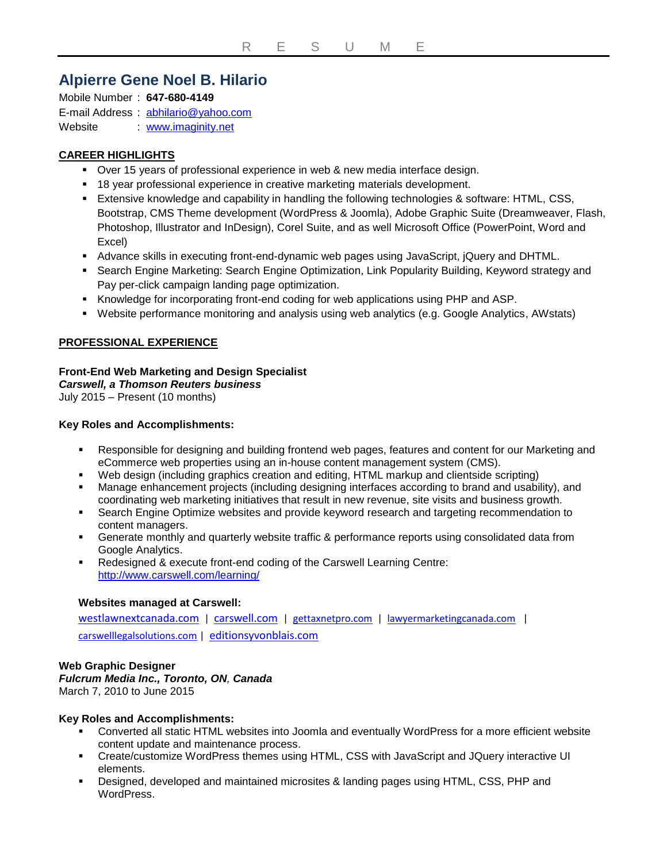# **Alpierre Gene Noel B. Hilario**

Mobile Number : **647-680-4149** E-mail Address : [abhilario@yahoo.com](mailto:abhilario@yahoo.com) Website : [www.imaginity.net](http://www.imaginity.net/)

# **CAREER HIGHLIGHTS**

- Over 15 years of professional experience in web & new media interface design.
- 18 year professional experience in creative marketing materials development.
- Extensive knowledge and capability in handling the following technologies & software: HTML, CSS, Bootstrap, CMS Theme development (WordPress & Joomla), Adobe Graphic Suite (Dreamweaver, Flash, Photoshop, Illustrator and InDesign), Corel Suite, and as well Microsoft Office (PowerPoint, Word and Excel)
- Advance skills in executing front-end-dynamic web pages using JavaScript, jQuery and DHTML.
- Search Engine Marketing: Search Engine Optimization, Link Popularity Building, Keyword strategy and Pay per-click campaign landing page optimization.
- Knowledge for incorporating front-end coding for web applications using PHP and ASP.
- Website performance monitoring and analysis using web analytics (e.g. Google Analytics, AWstats)

# **PROFESSIONAL EXPERIENCE**

# **Front-End Web Marketing and Design Specialist**

# *Carswell, a Thomson Reuters business*

July 2015 – Present (10 months)

# **Key Roles and Accomplishments:**

- Responsible for designing and building frontend web pages, features and content for our Marketing and eCommerce web properties using an in-house content management system (CMS).
- Web design (including graphics creation and editing, HTML markup and clientside scripting)
- Manage enhancement projects (including designing interfaces according to brand and usability), and coordinating web marketing initiatives that result in new revenue, site visits and business growth.
- Search Engine Optimize websites and provide keyword research and targeting recommendation to content managers.
- Generate monthly and quarterly website traffic & performance reports using consolidated data from Google Analytics.
- Redesigned & execute front-end coding of the Carswell Learning Centre: <http://www.carswell.com/learning/>

#### **Websites managed at Carswell:**

[westlawnextcanada.com](http://www.westlawnextcanada.com/) | [carswell.com](http://www.carswell.com/) | [gettaxnetpro.com](http://www.gettaxnetpro.com/) | [lawyermarketingcanada.com](http://lawyermarketingcanada.com/) | [carswelllegalsolutions.com](http://www.carswelllegalsolutions.com/) | [editionsyvonblais.com](http://www.editionsyvonblais.com/)

# **Web Graphic Designer**

*Fulcrum Media Inc., Toronto, ON, Canada* March 7, 2010 to June 2015

#### **Key Roles and Accomplishments:**

- Converted all static HTML websites into Joomla and eventually WordPress for a more efficient website content update and maintenance process.
- Create/customize WordPress themes using HTML, CSS with JavaScript and JQuery interactive UI elements.
- Designed, developed and maintained microsites & landing pages using HTML, CSS, PHP and WordPress.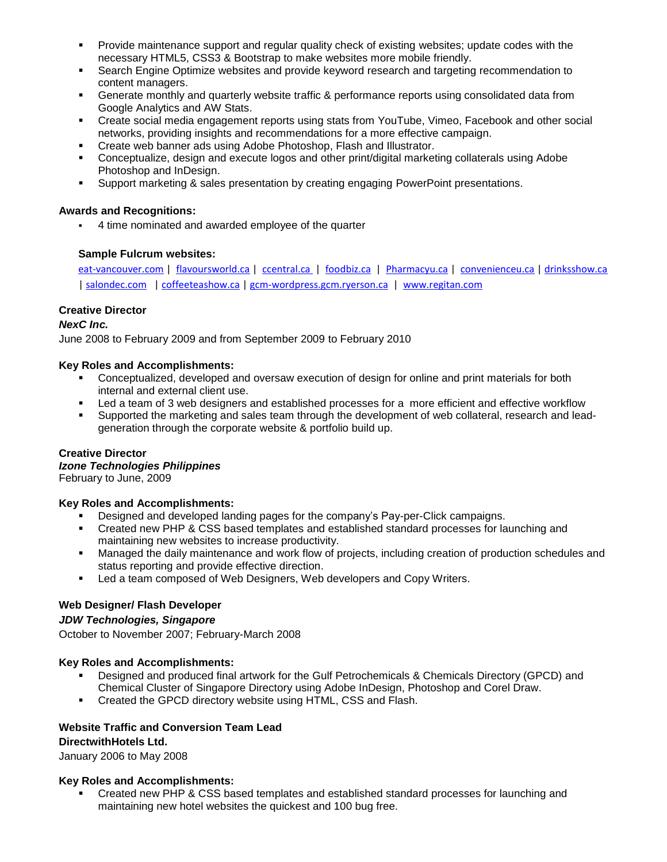- Provide maintenance support and regular quality check of existing websites; update codes with the necessary HTML5, CSS3 & Bootstrap to make websites more mobile friendly.
- Search Engine Optimize websites and provide keyword research and targeting recommendation to content managers.
- Generate monthly and quarterly website traffic & performance reports using consolidated data from Google Analytics and AW Stats.
- Create social media engagement reports using stats from YouTube, Vimeo, Facebook and other social networks, providing insights and recommendations for a more effective campaign.
- Create web banner ads using Adobe Photoshop, Flash and Illustrator.
- Conceptualize, design and execute logos and other print/digital marketing collaterals using Adobe Photoshop and InDesign.
- Support marketing & sales presentation by creating engaging PowerPoint presentations.

# **Awards and Recognitions:**

4 time nominated and awarded employee of the quarter

# **Sample Fulcrum websites:**

[eat-vancouver.com](http://eat-vancouver.com/) | [flavoursworld.ca](http://flavoursworld.ca/) | [ccentral.ca](http://ccentral.ca/) | [foodbiz.ca](http://foodbiz.ca/) | [Pharmacyu.ca](http://pharmacyu.ca/) | [convenienceu.ca](http://convenienceu.ca/) [| drinksshow.ca](http://drinksshow.ca/)  | [salondec.com](http://drinksshow.ca/) [| coffeeteashow.ca](https://coffeeteashow.ca/) [| gcm-wordpress.gcm.ryerson.ca](http://gcm-wordpress.gcm.ryerson.ca/) | [www.regitan.com](http://www.regitan.com/)

# **Creative Director**

# *NexC Inc.*

June 2008 to February 2009 and from September 2009 to February 2010

# **Key Roles and Accomplishments:**

- **•** Conceptualized, developed and oversaw execution of design for online and print materials for both internal and external client use.
- Led a team of 3 web designers and established processes for a more efficient and effective workflow
- Supported the marketing and sales team through the development of web collateral, research and leadgeneration through the corporate website & portfolio build up.

#### **Creative Director**

#### *Izone Technologies Philippines*

February to June, 2009

#### **Key Roles and Accomplishments:**

- Designed and developed landing pages for the company's Pay-per-Click campaigns.
- Created new PHP & CSS based templates and established standard processes for launching and maintaining new websites to increase productivity.
- Managed the daily maintenance and work flow of projects, including creation of production schedules and status reporting and provide effective direction.
- **Led a team composed of Web Designers, Web developers and Copy Writers.**

# **Web Designer/ Flash Developer**

#### *JDW Technologies, Singapore*

October to November 2007; February-March 2008

#### **Key Roles and Accomplishments:**

- Designed and produced final artwork for the Gulf Petrochemicals & Chemicals Directory (GPCD) and Chemical Cluster of Singapore Directory using Adobe InDesign, Photoshop and Corel Draw.
- Created the GPCD directory website using HTML, CSS and Flash.

#### **Website Traffic and Conversion Team Lead DirectwithHotels Ltd.**

January 2006 to May 2008

# **Key Roles and Accomplishments:**

 Created new PHP & CSS based templates and established standard processes for launching and maintaining new hotel websites the quickest and 100 bug free.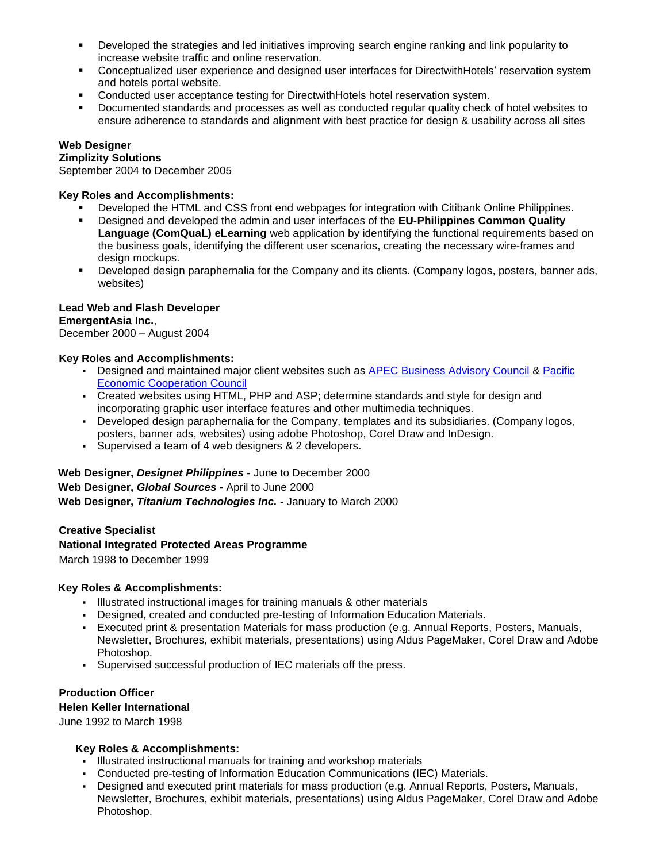- Developed the strategies and led initiatives improving search engine ranking and link popularity to increase website traffic and online reservation.
- Conceptualized user experience and designed user interfaces for DirectwithHotels' reservation system and hotels portal website.
- Conducted user acceptance testing for DirectwithHotels hotel reservation system.
- Documented standards and processes as well as conducted regular quality check of hotel websites to ensure adherence to standards and alignment with best practice for design & usability across all sites

# **Web Designer**

# **[Zimplizity Solutions](https://www.xing.com/companies/ZIMPLIZITYSOLUTIONS?keyword=Zimplizity%20Solutions)**

September 2004 to December 2005

# **Key Roles and Accomplishments:**

- Developed the HTML and CSS front end webpages for integration with Citibank Online Philippines.
- Designed and developed the admin and user interfaces of the **EU-Philippines Common Quality**  Language (ComQuaL) eLearning web application by identifying the functional requirements based on the business goals, identifying the different user scenarios, creating the necessary wire-frames and design mockups.
- Developed design paraphernalia for the Company and its clients. (Company logos, posters, banner ads, websites)

#### **Lead Web and Flash Developer EmergentAsia Inc.**,

December 2000 – August 2004

# **Key Roles and Accomplishments:**

- Designed and maintained major client websites such as [APEC Business Advisory Council](https://www.abaconline.org/) & Pacific [Economic Cooperation Council](http://www.pecc.org/)
- Created websites using HTML, PHP and ASP; determine standards and style for design and incorporating graphic user interface features and other multimedia techniques.
- Developed design paraphernalia for the Company, templates and its subsidiaries. (Company logos, posters, banner ads, websites) using adobe Photoshop, Corel Draw and InDesign.
- Supervised a team of 4 web designers & 2 developers.

**Web Designer,** *Designet Philippines* **-** June to December 2000 **Web Designer,** *Global Sources* **-** April to June 2000

**Web Designer,** *Titanium Technologies Inc.* **-** January to March 2000

# **Creative Specialist [National](http://www.iapad.org/pa/about_nipap.htm) Integrated Protected Areas Programme**

March 1998 to December 1999

# **Key Roles & Accomplishments:**

- Illustrated instructional images for training manuals & other materials
- Designed, created and conducted pre-testing of Information Education Materials.
- Executed print & presentation Materials for mass production (e.g. Annual Reports, Posters, Manuals, Newsletter, Brochures, exhibit materials, presentations) using Aldus PageMaker, Corel Draw and Adobe Photoshop.
- Supervised successful production of IEC materials off the press.

# **Production Officer**

# **Helen Keller International**

June 1992 to March 1998

# **Key Roles & Accomplishments:**

- Illustrated instructional manuals for training and workshop materials
- Conducted pre-testing of Information Education Communications (IEC) Materials.
- Designed and executed print materials for mass production (e.g. Annual Reports, Posters, Manuals, Newsletter, Brochures, exhibit materials, presentations) using Aldus PageMaker, Corel Draw and Adobe Photoshop.